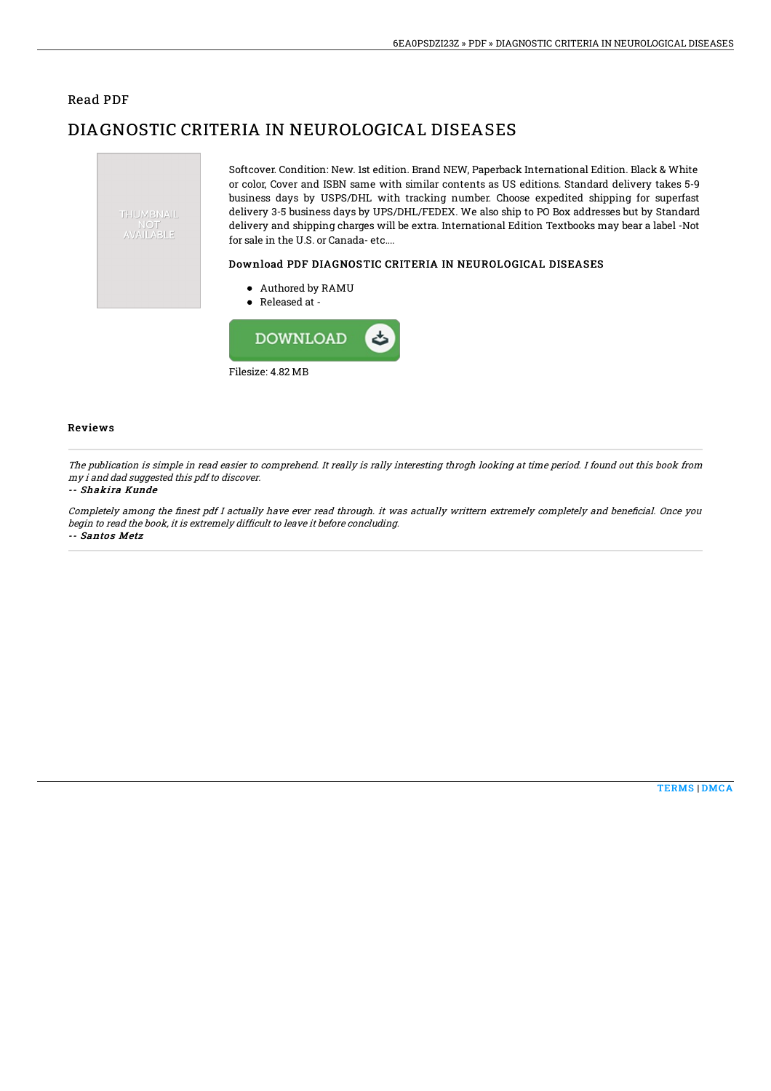## Read PDF

## DIAGNOSTIC CRITERIA IN NEUROLOGICAL DISEASES

Filesize: 4.82 MB



Reviews

The publication is simple in read easier to comprehend. It really is rally interesting throgh looking at time period. I found out this book from my i and dad suggested this pdf to discover.

## -- Shakira Kunde

Completely among the finest pdf I actually have ever read through. it was actually writtern extremely completely and beneficial. Once you begin to read the book, it is extremely difficult to leave it before concluding. -- Santos Metz